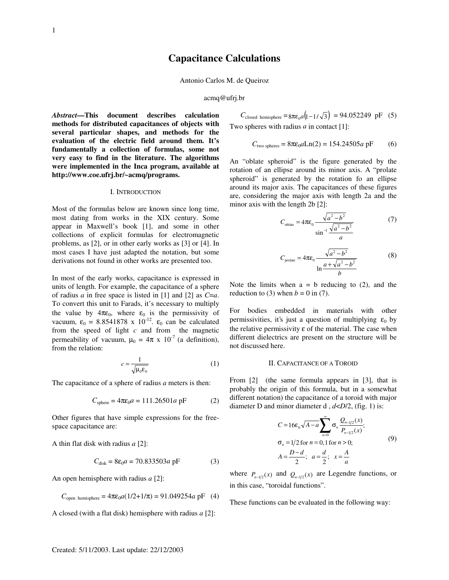# **Capacitance Calculations**

Antonio Carlos M. de Queiroz

#### acmq@ufrj.br

*Abstract***—This document describes calculation methods for distributed capacitances of objects with several particular shapes, and methods for the evaluation of the electric field around them. It's fundamentally a collection of formulas, some not very easy to find in the literature. The algorithms were implemented in the Inca program, available at http://www.coe.ufrj.br/~acmq/programs.**

# I. INTRODUCTION

Most of the formulas below are known since long time, most dating from works in the XIX century. Some appear in Maxwell's book [1], and some in other collections of explicit formulas for electromagnetic problems, as [2], or in other early works as [3] or [4]. In most cases I have just adapted the notation, but some derivations not found in other works are presented too.

In most of the early works, capacitance is expressed in units of length. For example, the capacitance of a sphere of radius *a* in free space is listed in [1] and [2] as *C*=*a*. To convert this unit to Farads, it's necessary to multiply the value by  $4\pi\varepsilon_0$ , where  $\varepsilon_0$  is the permissivity of vacuum,  $\varepsilon_0 = 8.8541878 \times 10^{-12}$ .  $\varepsilon_0$  can be calculated from the speed of light *c* and from the magnetic permeability of vacuum,  $\mu_0 = 4\pi \times 10^{-7}$  (a definition), from the relation:

$$
c = \frac{1}{\sqrt{\mu_0 \varepsilon_0}}\tag{1}
$$

The capacitance of a sphere of radius *a* meters is then:

$$
C_{\text{sphere}} = 4\pi\varepsilon_0 a = 111.26501a \text{ pF} \tag{2}
$$

Other figures that have simple expressions for the freespace capacitance are:

A thin flat disk with radius *a* [2]:

$$
C_{disk} = 8\varepsilon_0 a = 70.833503a \text{ pF}
$$
 (3)

An open hemisphere with radius *a* [2]:

$$
C_{\text{open hemisphere}} = 4\pi\varepsilon_0 a(1/2 + 1/\pi) = 91.049254a \text{ pF}
$$
 (4)

A closed (with a flat disk) hemisphere with radius *a* [2]:

$$
C_{\text{closed hemisphere}} = 8\pi\varepsilon_0 a \left(1 - 1/\sqrt{3}\right) = 94.052249 \text{ pF} \quad (5)
$$
  
Two spheres with radius *a* in contact [1]:

$$
C_{\text{two spheres}} = 8\pi\varepsilon_0 a \text{Ln}(2) = 154.24505a \text{ pF}
$$
 (6)

An "oblate spheroid" is the figure generated by the rotation of an ellipse around its minor axis. A "prolate spheroid" is generated by the rotation fo an ellipse around its major axis. The capacitances of these figures are, considering the major axis with length 2a and the minor axis with the length 2b [2]:

$$
C_{\text{oblate}} = 4\pi\varepsilon_0 \frac{\sqrt{a^2 - b^2}}{\sin^{-1}\frac{\sqrt{a^2 - b^2}}{a}}
$$
 (7)

$$
C_{\text{prolate}} = 4\pi\varepsilon_0 \frac{\sqrt{a^2 - b^2}}{\ln\frac{a + \sqrt{a^2 - b^2}}{b}}
$$
 (8)

Note the limits when  $a = b$  reducing to (2), and the reduction to (3) when  $b = 0$  in (7).

For bodies embedded in materials with other permissivities, it's just a question of multiplying  $\varepsilon_0$  by the relative permissivity  $\varepsilon$  of the material. The case when different dielectrics are present on the structure will be not discussed here.

#### II. CAPACITANCE OF A TOROID

From [2] (the same formula appears in [3], that is probably the origin of this formula, but in a somewhat different notation) the capacitance of a toroid with major diameter D and minor diameter d , *d*<*D*/2, (fig. 1) is:

$$
C = 16\varepsilon_0 \sqrt{A - a} \sum_{n=0}^{\infty} \sigma_n \frac{Q_{n-1/2}(x)}{P_{n-1/2}(x)};
$$
  
\n
$$
\sigma_n = 1/2 \text{ for } n = 0, 1 \text{ for } n > 0;
$$
  
\n
$$
A = \frac{D - d}{2}; \quad a = \frac{d}{2}; \quad x = \frac{A}{a}
$$
 (9)

where  $P_{n-1/2}(x)$  and  $Q_{n-1/2}(x)$  are Legendre functions, or in this case, "toroidal functions".

These functions can be evaluated in the following way: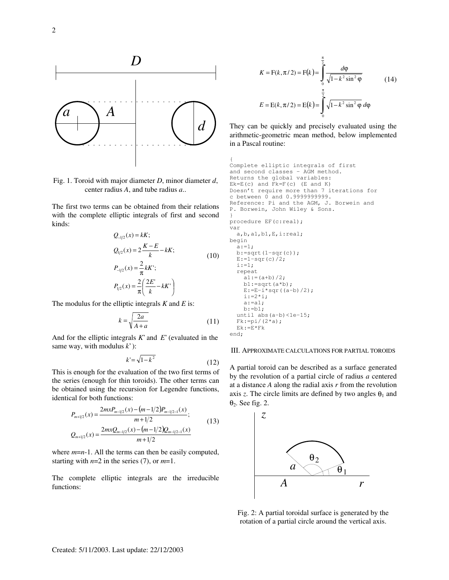

Fig. 1. Toroid with major diameter *D*, minor diameter *d*, center radius *A*, and tube radius *a*..

The first two terms can be obtained from their relations with the complete elliptic integrals of first and second kinds:

$$
Q_{-1/2}(x) = kK;
$$
  
\n
$$
Q_{1/2}(x) = 2\frac{K - E}{k} - kK;
$$
  
\n
$$
P_{-1/2}(x) = \frac{2}{\pi}kK';
$$
  
\n
$$
P_{1/2}(x) = \frac{2}{\pi} \left(\frac{2E'}{k} - kK'\right)
$$
\n(10)

The modulus for the elliptic integrals *K* and *E* is:

$$
k = \sqrt{\frac{2a}{A+a}}\tag{11}
$$

And for the elliptic integrals *K*' and *E*' (evaluated in the same way, with modulus *k*' ):

$$
k' = \sqrt{1 - k^2} \tag{12}
$$

This is enough for the evaluation of the two first terms of the series (enough for thin toroids). The other terms can be obtained using the recursion for Legendre functions, identical for both functions:

$$
P_{m+1/2}(x) = \frac{2mxP_{m-1/2}(x) - (m-1/2)P_{m-1/2-1}(x)}{m+1/2};
$$
  
\n
$$
Q_{m+1/2}(x) = \frac{2mxQ_{m-1/2}(x) - (m-1/2)Q_{m-1/2-1}(x)}{m+1/2}
$$
\n(13)

where  $m=n-1$ . All the terms can then be easily computed, starting with  $n=2$  in the series (7), or  $m=1$ .

The complete elliptic integrals are the irreducible functions:

$$
K = F(k, \pi/2) = F(k) = \int_{0}^{\frac{\pi}{2}} \frac{d\varphi}{\sqrt{1 - k^2 \sin^2 \varphi}}
$$
(14)  

$$
E = E(k, \pi/2) = E(k) = \int_{0}^{\frac{\pi}{2}} \sqrt{1 - k^2 \sin^2 \varphi} d\varphi
$$

They can be quickly and precisely evaluated using the arithmetic-geometric mean method, below implemented in a Pascal routine:

```
{
Complete elliptic integrals of first
and second classes - AGM method.
Returns the global variables:
Ek=E(c) and Fk=F(c) (E and K)
Doesn't require more than 7 iterations for
c between 0 and 0.9999999999.
Reference: Pi and the AGM, J. Borwein and
P. Borwein, John Wiley & Sons.
}
procedure EF(c:real);
var
   a,b,a1,b1,E,i:real;
begin
   a:=1;
  b:=sqrt(1-sqr(c));
  E:=1-sqr(c)/2;i := 1; repeat
    a1:=(a+b)/2;b1:=sqrt(a*b);E:=E-i*sqrt( (a-b)/2);i := 2 * i;
    a:=a1;b:=b1; until abs(a-b)<1e-15;
  Fk:=pi/(2*a); Ek:=E*Fk
end;
```
# III. APPROXIMATE CALCULATIONS FOR PARTIAL TOROIDS

A partial toroid can be described as a surface generated by the revolution of a partial circle of radius *a* centered at a distance *A* along the radial axis *r* from the revolution axis *z*. The circle limits are defined by two angles  $\theta_1$  and θ2. See fig. 2.



Fig. 2: A partial toroidal surface is generated by the rotation of a partial circle around the vertical axis.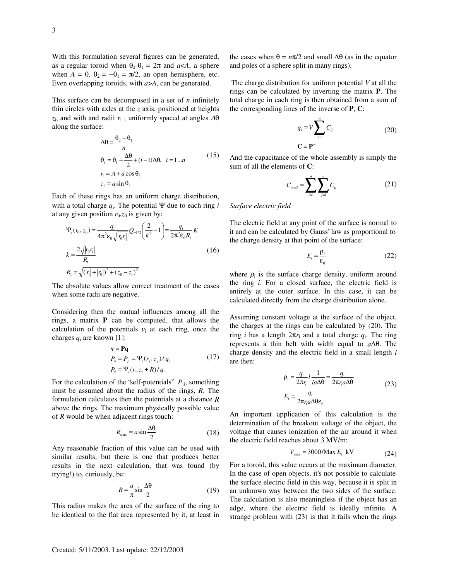With this formulation several figures can be generated, as a regular toroid when  $\theta_2 - \theta_1 = 2\pi$  and  $a < A$ , a sphere when  $A = 0$ ,  $\theta_2 = -\theta_1 = \pi/2$ , an open hemisphere, etc. Even overlapping toroids, with *a*>*A*, can be generated.

This surface can be decomposed in a set of *n* infinitely thin circles with axles at the *z* axis, positioned at heights *z*i , and with and radii *r*<sup>i</sup> , uniformly spaced at angles ∆θ along the surface:

$$
\Delta\theta = \frac{\theta_2 - \theta_1}{n}
$$
  
\n
$$
\theta_i = \theta_1 + \frac{\Delta\theta}{2} + (i - 1)\Delta\theta, \quad i = 1...n
$$
  
\n
$$
r_i = A + a\cos\theta_i
$$
  
\n
$$
z_i = a\sin\theta_i
$$
\n(15)

Each of these rings has an uniform charge distribution, with a total charge *q*<sup>i</sup> . The potential Ψ due to each ring *i* at any given position  $r_0$ , $z_0$  is given by:

$$
\Psi_i(r_0, z_0) = \frac{q_i}{4\pi^2 \varepsilon_0 \sqrt{|r_0 r_i|}} Q_{-1/2} \left(\frac{2}{k^2} - 1\right) = \frac{q_i}{2\pi^2 \varepsilon_0 R_1} K
$$
\n
$$
k = \frac{2\sqrt{|r_0 r_i|}}{R_1}
$$
\n
$$
R_1 = \sqrt{(|r_i| + |r_0|)^2 + (z_0 - z_i)^2}
$$
\n(16)

The absolute values allow correct treatment of the cases when some radii are negative.

Considering then the mutual influences among all the rings, a matrix **P** can be computed, that allows the calculation of the potentials  $v_i$  at each ring, once the charges  $q_i$  are known [1]:

$$
\mathbf{v} = \mathbf{P}\mathbf{q}
$$
  
\n
$$
P_{ij} = P_{ji} = \Psi_i(r_j, z_j) / q_i
$$
  
\n
$$
P_{ii} = \Psi_i(r_i, z_i + R) / q_i
$$
\n(17)

For the calculation of the 'self-potentials'  $P_{ii}$ , something must be assumed about the radius of the rings, *R*. The formulation calculates then the potentials at a distance *R* above the rings. The maximum physically possible value of *R* would be when adjacent rings touch:

$$
R_{\text{max}} = a \sin \frac{\Delta \theta}{2} \tag{18}
$$

Any reasonable fraction of this value can be used with similar results, but there is one that produces better results in the next calculation, that was found (by trying!) to, curiously, be:

$$
R = -\frac{a}{\pi} \sin \frac{\Delta \theta}{2} \tag{19}
$$

This radius makes the area of the surface of the ring to be identical to the flat area represented by it, at least in the cases when  $θ = nπ/2$  and small  $Δθ$  (as in the equator and poles of a sphere split in many rings).

The charge distribution for uniform potential *V* at all the rings can be calculated by inverting the matrix **P**. The total charge in each ring is then obtained from a sum of the corresponding lines of the inverse of **P**, **C**:

$$
q_i = V \sum_{j=1}^{n} C_{ij}
$$
  

$$
C = P^{-1}
$$
 (20)

And the capacitance of the whole assembly is simply the sum of all the elements of **C**:

$$
C_{\text{total}} = \sum_{i=1}^{n} \sum_{j=1}^{n} C_{ij} \tag{21}
$$

# *Surface electric field*

The electric field at any point of the surface is normal to it and can be calculated by Gauss' law as proportional to the charge density at that point of the surface:

$$
E_i = \frac{\rho_i}{\epsilon_0} \tag{22}
$$

where  $\rho_i$  is the surface charge density, uniform around the ring *i*. For a closed surface, the electric field is entirely at the outer surface. In this case, it can be calculated directly from the charge distribution alone.

Assuming constant voltage at the surface of the object, the charges at the rings can be calculated by (20). The  $r$ *i* has a length  $2\pi r$ <sub>i</sub> and a total charge  $q$ <sub>i</sub>. The ring represents a thin belt with width equal to *a*∆θ. The charge density and the electric field in a small length *l* are then:

$$
\rho_i = \frac{q_i}{2\pi r_i} l \frac{1}{l a \Delta \theta} = \frac{q_i}{2\pi r_i a \Delta \theta}
$$
\n
$$
E_i = \frac{q_i}{2\pi r_i a \Delta \theta \epsilon_0}
$$
\n(23)

An important application of this calculation is the determination of the breakout voltage of the object, the voltage that causes ionization of the air around it when the electric field reaches about 3 MV/m:

$$
V_{\text{max}} = 3000/\text{Max } E_i \text{ kV} \tag{24}
$$

For a toroid, this value occurs at the maximum diameter. In the case of open objects, it's not possible to calculate the surface electric field in this way, because it is split in an unknown way between the two sides of the surface. The calculation is also meaningless if the object has an edge, where the electric field is ideally infinite. A strange problem with (23) is that it fails when the rings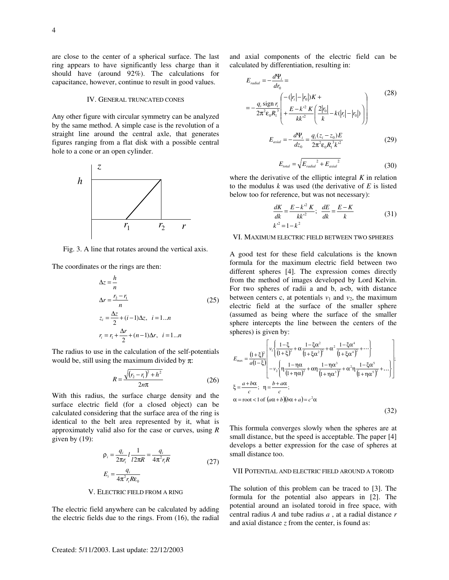are close to the center of a spherical surface. The last ring appears to have significantly less charge than it should have (around 92%). The calculations for capacitance, however, continue to result in good values.

### IV. GENERAL TRUNCATED CONES

Any other figure with circular symmetry can be analyzed by the same method. A simple case is the revolution of a straight line around the central axle, that generates figures ranging from a flat disk with a possible central hole to a cone or an open cylinder.



Fig. 3. A line that rotates around the vertical axis.

The coordinates or the rings are then:

$$
\Delta z = \frac{h}{n}
$$
  
\n
$$
\Delta r = \frac{r_2 - r_1}{n}
$$
 (25)  
\n
$$
z_i = \frac{\Delta z}{2} + (i - 1)\Delta z, \quad i = 1...n
$$
  
\n
$$
r_i = r_1 + \frac{\Delta r}{2} + (n - 1)\Delta r, \quad i = 1...n
$$

The radius to use in the calculation of the self-potentials would be, still using the maximum divided by  $\pi$ :

$$
R = \frac{\sqrt{(r_2 - r_1)^2 + h^2}}{2n\pi}
$$
 (26)

With this radius, the surface charge density and the surface electric field (for a closed object) can be calculated considering that the surface area of the ring is identical to the belt area represented by it, what is approximately valid also for the case or curves, using *R* given by (19):

$$
\rho_i = \frac{q_i}{2\pi r_i} l \frac{1}{l 2\pi R} = \frac{q_i}{4\pi^2 r_i R}
$$
\n
$$
E_i = \frac{q_i}{4\pi^2 r_i R \epsilon_0}
$$
\n(27)

## V. ELECTRIC FIELD FROM A RING

The electric field anywhere can be calculated by adding the electric fields due to the rings. From (16), the radial and axial components of the electric field can be calculated by differentiation, resulting in:

$$
E_{radial} = -\frac{d\Psi_i}{dr_0} =
$$
\n
$$
= -\frac{q_i \operatorname{sign} r_i}{2\pi^2 \varepsilon_0 R_1^3} \left( \frac{-(|r_i| - |r_0|)K +}{k^2} \left( \frac{2|r_0|}{k} - k(|r_i| - |r_0|) \right) \right)
$$
\n
$$
E_{axial} = -\frac{d\Psi_i}{dz_0} = \frac{q_i (z_i - z_0)E}{2\pi^2 \varepsilon_0 R_1^3 k^2}
$$
\n(29)

$$
E_{\text{total}} = \sqrt{E_{\text{radial}}^2 + E_{\text{axial}}^2}
$$
 (30)

where the derivative of the elliptic integral *K* in relation to the modulus *k* was used (the derivative of *E* is listed below too for reference, but was not necessary):

$$
\frac{dK}{dk} = \frac{E - k'^2 K}{kk'^2}; \quad \frac{dE}{dk} = \frac{E - K}{k}
$$
\n(31)

### VI. MAXIMUM ELECTRIC FIELD BETWEEN TWO SPHERES

A good test for these field calculations is the known formula for the maximum electric field between two different spheres [4]. The expression comes directly from the method of images developed by Lord Kelvin. For two spheres of radii a and b,  $a < b$ , with distance between centers c, at potentials  $v_1$  and  $v_2$ , the maximum electric field at the surface of the smaller sphere (assumed as being where the surface of the smaller sphere intercepts the line between the centers of the spheres) is given by:

$$
E_{\max} = \frac{(1+\xi)^2}{a(1-\xi)} \left[ v_1 \left\{ \frac{1-\xi}{(1+\xi)^2} + \alpha \frac{1-\xi\alpha^2}{(1+\xi\alpha^2)^2} + \alpha^2 \frac{1-\xi\alpha^4}{(1+\xi\alpha^4)^2} + \cdots \right\} - v_2 \left\{ \eta \frac{1-\eta\alpha}{(1+\eta\alpha)^2} + \alpha\eta \frac{1-\eta\alpha^3}{(1+\eta\alpha^3)^2} + \alpha^2\eta \frac{1-\xi\alpha^5}{(1+\eta\alpha^5)^2} + \cdots \right\} \right],
$$
  
\n
$$
\xi = \frac{a+b\alpha}{c}; \quad \eta = \frac{b+a\alpha}{c};
$$
  
\n
$$
\alpha = \text{root} < 1 \text{ of } (\alpha\alpha+b)(b\alpha+a) = c^2\alpha
$$
 (32)

This formula converges slowly when the spheres are at small distance, but the speed is acceptable. The paper [4] develops a better expression for the case of spheres at small distance too.

## VII POTENTIAL AND ELECTRIC FIELD AROUND A TOROID

The solution of this problem can be traced to [3]. The formula for the potential also appears in [2]. The potential around an isolated toroid in free space, with central radius *A* and tube radius *a* , at a radial distance *r* and axial distance *z* from the center, is found as: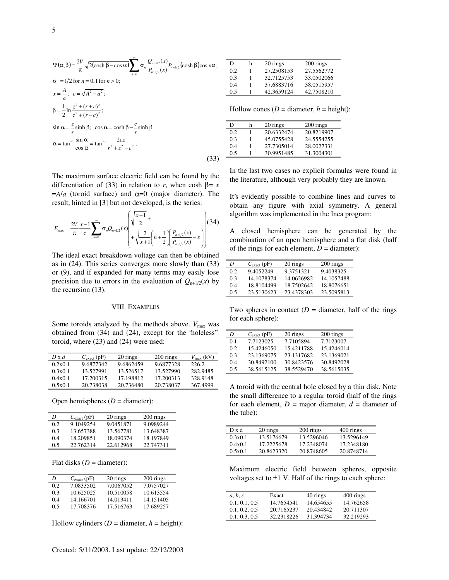$$
\Psi(\alpha, \beta) = \frac{2V}{\pi} \sqrt{2(\cosh \beta - \cos \alpha)} \sum_{n=0}^{\infty} \sigma_n \frac{Q_{n-1/2}(x)}{P_{n-1/2}(x)} P_{n-1/2}(\cosh \beta) \cos n\alpha;
$$
  
\n
$$
\sigma_n = 1/2 \text{ for } n = 0, 1 \text{ for } n > 0;
$$
  
\n
$$
x = \frac{A}{a}; \quad c = \sqrt{A^2 - a^2};
$$
  
\n
$$
\beta = \frac{1}{2} \ln \frac{z^2 + (r + c)^2}{z^2 + (r - c)^2};
$$
  
\n
$$
\sin \alpha = \frac{z}{r} \sinh \beta; \quad \cos \alpha = \cosh \beta - \frac{c}{r} \sinh \beta
$$
  
\n
$$
\alpha = \tan^{-1} \frac{\sin \alpha}{\cos \alpha} = \tan^{-1} \frac{2cz}{r^2 + z^2 - c^2};
$$
\n(33)

| D              | h | 20 rings   | 200 rings  |
|----------------|---|------------|------------|
| 0.2            |   | 27.2508153 | 27.5562772 |
| 0.3            |   | 32.7125753 | 33.0502066 |
| 0 <sub>4</sub> |   | 37.6883716 | 38.0515957 |
| 0.5            |   | 42.3659124 | 42.7508210 |

Hollow cones ( $D =$  diameter,  $h =$  height):

| D   | h | 20 rings   | 200 rings  |
|-----|---|------------|------------|
| 0.2 |   | 20.6332474 | 20.8219907 |
| 0.3 |   | 45.0755428 | 24.5554255 |
| 0.4 |   | 27.7305014 | 28.0027331 |
| 0.5 |   | 30.9951485 | 31.3004301 |

The maximum surface electric field can be found by the differentiation of (33) in relation to *r*, when cosh  $\beta = x$  $=$ *A/a* (toroid surface) and  $\alpha$ =0 (major diameter). The result, hinted in [3] but not developed, is the series:

$$
E_{\max} = \frac{2V}{\pi} \frac{x-1}{c} \sum_{n=0}^{\infty} \sigma_n Q_{n-1/2}(x) \left( \sqrt{\frac{x+1}{2}} + \sqrt{\frac{2}{x+1}} \left( n + \frac{1}{2} \left( \frac{P_{n+1/2}(x)}{P_{n-1/2}(x)} - x \right) \right) \right)
$$
(34)

The ideal exact breakdown voltage can then be obtained as in (24). This series converges more slowly than (33) or (9), and if expanded for many terms may easily lose precision due to errors in the evaluation of  $Q_{n+1/2}(x)$  by the recursion (13).

#### VIII. EXAMPLES

Some toroids analyzed by the methods above.  $V_{\text{max}}$  was obtained from (34) and (24), except for the "holeless" toroid, where (23) and (24) were used:

| $D \times d$ | $C_{\text{exact}}$ (pF) | 20 rings  | 200 rings | $V_{\text{max}}$ (kV) |
|--------------|-------------------------|-----------|-----------|-----------------------|
| 0.2x0.1      | 9.6877342               | 9.6862459 | 9.6877328 | 226.2                 |
| 0.3x0.1      | 13.527991               | 13.526517 | 13.527990 | 282.9485              |
| 0.4x0.1      | 17.200315               | 17.198812 | 17.200313 | 328.9148              |
| 0.5x0.1      | 20.738038               | 20.736480 | 20.738037 | 3674999               |

Open hemispheres  $(D =$  diameter):

| D   | $C_{\text{exact}}$ (pF) | 20 rings  | 200 rings |
|-----|-------------------------|-----------|-----------|
| 0.2 | 9.1049254               | 9.0451871 | 9.0989244 |
| 0.3 | 13.657388               | 13.567781 | 13.648387 |
| 0.4 | 18.209851               | 18.090374 | 18.197849 |
| 0.5 | 22.762314               | 22.612968 | 22.747311 |

Flat disks  $(D =$  diameter):

| D   | $C_{\text{exact}}$ (pF) | 20 rings  | 200 rings |
|-----|-------------------------|-----------|-----------|
| 0.2 | 7.0833502               | 7.0067052 | 7.0757027 |
| 0.3 | 10.625025               | 10.510058 | 10.613554 |
| 0.4 | 14.166701               | 14.013411 | 14.151405 |
| 0.5 | 17.708376               | 17.516763 | 17.689257 |

Hollow cylinders  $(D =$  diameter,  $h =$  height):

In the last two cases no explicit formulas were found in the literature, although very probably they are known.

It's evidently possible to combine lines and curves to obtain any figure with axial symmetry. A general algorithm was implemented in the Inca program:

A closed hemisphere can be generated by the combination of an open hemisphere and a flat disk (half of the rings for each element,  $D =$  diameter):

| D   | $C_{\text{exact}}$ (pF) | 20 rings   | 200 rings  |
|-----|-------------------------|------------|------------|
| 0.2 | 9.4052249               | 9.3751321  | 9.4038325  |
| 0.3 | 14.1078374              | 14.0626982 | 14.1057488 |
| 0.4 | 18.8104499              | 18.7502642 | 18.8076651 |
| 0.5 | 23.5130623              | 23.4378303 | 23.5095813 |

Two spheres in contact  $(D =$  diameter, half of the rings for each sphere):

| D   | $C_{\text{exact}}$ (pF) | 20 rings   | 200 rings  |
|-----|-------------------------|------------|------------|
| 0.1 | 7.7123025               | 7.7105894  | 7.7123007  |
| 0.2 | 15.4246050              | 15.4211788 | 15.4246014 |
| 0.3 | 23.1369075              | 23.1317682 | 23.1369021 |
| 0.4 | 30.8492100              | 30.8423576 | 30.8492028 |
| 0.5 | 38.5615125              | 38.5529470 | 38.5615035 |

A toroid with the central hole closed by a thin disk. Note the small difference to a regular toroid (half of the rings for each element,  $D =$  major diameter,  $d =$  diameter of the tube):

| Dxd     | 20 rings   | 200 rings  | 400 rings  |
|---------|------------|------------|------------|
| 0.3x0.1 | 13.5176679 | 13.5296046 | 13.5296149 |
| 0.4x0.1 | 17.2225678 | 17.2348074 | 17.2348180 |
| 0.5x0.1 | 20.8623320 | 20.8748605 | 20.8748714 |

Maximum electric field between spheres, opposite voltages set to  $\pm 1$  V. Half of the rings to each sphere:

| a, b, c       | Exact      | 40 rings  | 400 rings |
|---------------|------------|-----------|-----------|
| 0.1, 0.1, 0.5 | 14.7654541 | 14.654655 | 14.762658 |
| 0.1, 0.2, 0.5 | 20.7165237 | 20.434842 | 20.711307 |
| 0.1, 0.3, 0.5 | 32.2318226 | 31.394734 | 32.219293 |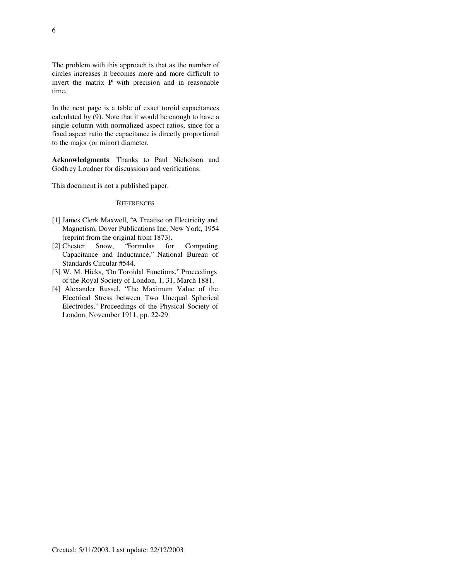The problem with this approach is that as the number of circles increases it becomes more and more difficult to invert the matrix **P** with precision and in reasonable time.

In the next page is a table of exact toroid capacitances calculated by (9). Note that it would be enough to have a single column with normalized aspect ratios, since for a fixed aspect ratio the capacitance is directly proportional to the major (or minor) diameter.

**Acknowledgments**: Thanks to Paul Nicholson and Godfrey Loudner for discussions and verifications.

This document is not a published paper.

### **REFERENCES**

- [1] James Clerk Maxwell, "A Treatise on Electricity and Magnetism, Dover Publications Inc, New York, 1954 (reprint from the original from 1873).
- [2] Chester Snow, "Formulas for Computing Capacitance and Inductance," National Bureau of Standards Circular #544.
- [3] W. M. Hicks, "On Toroidal Functions," Proceedings of the Royal Society of London, 1, 31, March 1881.
- [4] Alexander Russel, "The Maximum Value of the Electrical Stress between Two Unequal Spherical Electrodes," Proceedings of the Physical Society of London, November 1911, pp. 22-29.